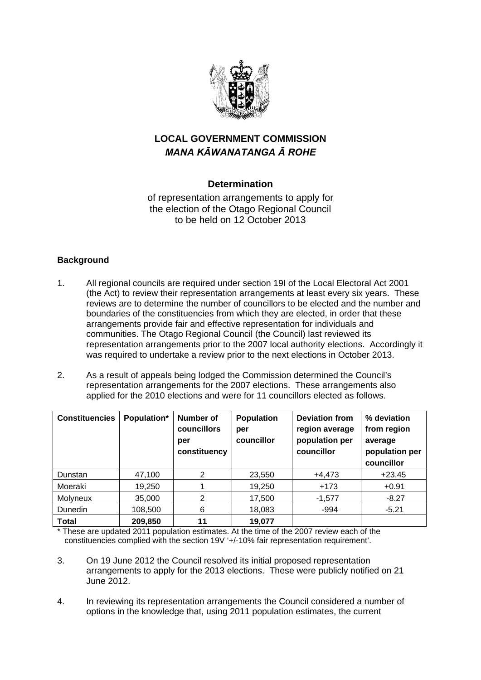

# **LOCAL GOVERNMENT COMMISSION**  *MANA KĀWANATANGA Ā ROHE*

## **Determination**

of representation arrangements to apply for the election of the Otago Regional Council to be held on 12 October 2013

## **Background**

- 1. All regional councils are required under section 19I of the Local Electoral Act 2001 (the Act) to review their representation arrangements at least every six years. These reviews are to determine the number of councillors to be elected and the number and boundaries of the constituencies from which they are elected, in order that these arrangements provide fair and effective representation for individuals and communities. The Otago Regional Council (the Council) last reviewed its representation arrangements prior to the 2007 local authority elections. Accordingly it was required to undertake a review prior to the next elections in October 2013.
- 2. As a result of appeals being lodged the Commission determined the Council's representation arrangements for the 2007 elections. These arrangements also applied for the 2010 elections and were for 11 councillors elected as follows.

| <b>Constituencies</b> | Population* | Number of<br><b>councillors</b><br>per<br>constituency | <b>Population</b><br>per<br>councillor | <b>Deviation from</b><br>region average<br>population per<br>councillor | % deviation<br>from region<br>average<br>population per<br>councillor |
|-----------------------|-------------|--------------------------------------------------------|----------------------------------------|-------------------------------------------------------------------------|-----------------------------------------------------------------------|
| Dunstan               | 47,100      | 2                                                      | 23,550                                 | $+4,473$                                                                | $+23.45$                                                              |
| Moeraki               | 19,250      |                                                        | 19,250                                 | $+173$                                                                  | $+0.91$                                                               |
| <b>Molyneux</b>       | 35,000      | 2                                                      | 17,500                                 | $-1,577$                                                                | $-8.27$                                                               |
| <b>Dunedin</b>        | 108,500     | 6                                                      | 18,083                                 | $-994$                                                                  | $-5.21$                                                               |
| <b>Total</b>          | 209,850     | 11                                                     | 19,077                                 |                                                                         |                                                                       |

\* These are updated 2011 population estimates. At the time of the 2007 review each of the constituencies complied with the section 19V '+/-10% fair representation requirement'.

- 3. On 19 June 2012 the Council resolved its initial proposed representation arrangements to apply for the 2013 elections. These were publicly notified on 21 June 2012.
- 4. In reviewing its representation arrangements the Council considered a number of options in the knowledge that, using 2011 population estimates, the current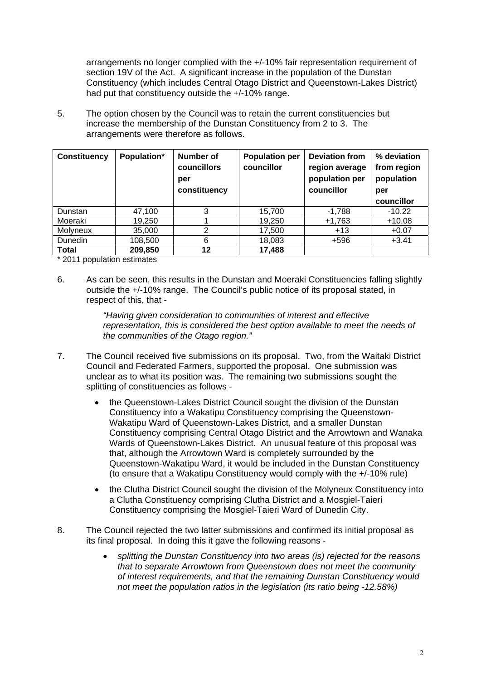arrangements no longer complied with the +/-10% fair representation requirement of section 19V of the Act. A significant increase in the population of the Dunstan Constituency (which includes Central Otago District and Queenstown-Lakes District) had put that constituency outside the +/-10% range.

5. The option chosen by the Council was to retain the current constituencies but increase the membership of the Dunstan Constituency from 2 to 3. The arrangements were therefore as follows.

| <b>Constituency</b> | Population* | Number of<br><b>councillors</b><br>per<br>constituency | <b>Population per</b><br>councillor | <b>Deviation from</b><br>region average<br>population per<br>councillor | % deviation<br>from region<br>population<br>per<br>councillor |
|---------------------|-------------|--------------------------------------------------------|-------------------------------------|-------------------------------------------------------------------------|---------------------------------------------------------------|
| Dunstan             | 47,100      | 3                                                      | 15,700                              | $-1,788$                                                                | $-10.22$                                                      |
| Moeraki             | 19,250      |                                                        | 19,250                              | $+1,763$                                                                | $+10.08$                                                      |
| <b>Molyneux</b>     | 35,000      | 2                                                      | 17,500                              | $+13$                                                                   | $+0.07$                                                       |
| <b>Dunedin</b>      | 108,500     | 6                                                      | 18,083                              | +596                                                                    | $+3.41$                                                       |
| <b>Total</b>        | 209,850     | 12                                                     | 17,488                              |                                                                         |                                                               |

\* 2011 population estimates

6. As can be seen, this results in the Dunstan and Moeraki Constituencies falling slightly outside the +/-10% range. The Council's public notice of its proposal stated, in respect of this, that -

> *"Having given consideration to communities of interest and effective representation, this is considered the best option available to meet the needs of the communities of the Otago region."*

- 7. The Council received five submissions on its proposal. Two, from the Waitaki District Council and Federated Farmers, supported the proposal. One submission was unclear as to what its position was. The remaining two submissions sought the splitting of constituencies as follows
	- the Queenstown-Lakes District Council sought the division of the Dunstan Constituency into a Wakatipu Constituency comprising the Queenstown-Wakatipu Ward of Queenstown-Lakes District, and a smaller Dunstan Constituency comprising Central Otago District and the Arrowtown and Wanaka Wards of Queenstown-Lakes District. An unusual feature of this proposal was that, although the Arrowtown Ward is completely surrounded by the Queenstown-Wakatipu Ward, it would be included in the Dunstan Constituency (to ensure that a Wakatipu Constituency would comply with the +/-10% rule)
	- the Clutha District Council sought the division of the Molyneux Constituency into a Clutha Constituency comprising Clutha District and a Mosgiel-Taieri Constituency comprising the Mosgiel-Taieri Ward of Dunedin City.
- 8. The Council rejected the two latter submissions and confirmed its initial proposal as its final proposal. In doing this it gave the following reasons
	- *splitting the Dunstan Constituency into two areas (is) rejected for the reasons that to separate Arrowtown from Queenstown does not meet the community of interest requirements, and that the remaining Dunstan Constituency would not meet the population ratios in the legislation (its ratio being -12.58%)*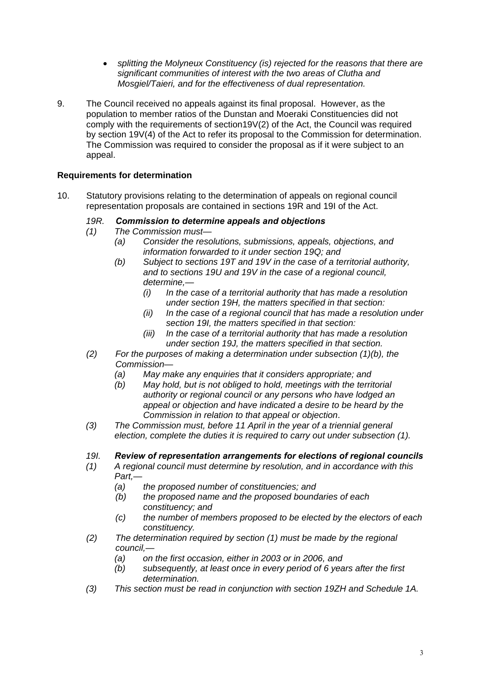- *splitting the Molyneux Constituency (is) rejected for the reasons that there are significant communities of interest with the two areas of Clutha and Mosgiel/Taieri, and for the effectiveness of dual representation.*
- 9. The Council received no appeals against its final proposal. However, as the population to member ratios of the Dunstan and Moeraki Constituencies did not comply with the requirements of section19V(2) of the Act, the Council was required by section 19V(4) of the Act to refer its proposal to the Commission for determination. The Commission was required to consider the proposal as if it were subject to an appeal.

## **Requirements for determination**

10. Statutory provisions relating to the determination of appeals on regional council representation proposals are contained in sections 19R and 19I of the Act.

## *19R. Commission to determine appeals and objections*

- *(1) The Commission must—* 
	- *(a) Consider the resolutions, submissions, appeals, objections, and information forwarded to it under section 19Q; and*
	- *(b) Subject to sections 19T and 19V in the case of a territorial authority, and to sections 19U and 19V in the case of a regional council, determine,—* 
		- *(i) In the case of a territorial authority that has made a resolution under section 19H, the matters specified in that section:*
		- *(ii) In the case of a regional council that has made a resolution under section 19I, the matters specified in that section:*
		- *(iii) In the case of a territorial authority that has made a resolution under section 19J, the matters specified in that section.*
- *(2) For the purposes of making a determination under subsection (1)(b), the Commission—* 
	- *(a) May make any enquiries that it considers appropriate; and*
	- *(b) May hold, but is not obliged to hold, meetings with the territorial authority or regional council or any persons who have lodged an appeal or objection and have indicated a desire to be heard by the Commission in relation to that appeal or objection*.
- *(3) The Commission must, before 11 April in the year of a triennial general election, complete the duties it is required to carry out under subsection (1).*

## *19I. Review of representation arrangements for elections of regional councils*

- *(1) A regional council must determine by resolution, and in accordance with this Part,—* 
	- *(a) the proposed number of constituencies; and*
	- *(b) the proposed name and the proposed boundaries of each constituency; and*
	- *(c) the number of members proposed to be elected by the electors of each constituency.*
- *(2) The determination required by section (1) must be made by the regional council,—* 
	- *(a) on the first occasion, either in 2003 or in 2006, and*
	- *(b) subsequently, at least once in every period of 6 years after the first determination.*
- *(3) This section must be read in conjunction with section 19ZH and Schedule 1A.*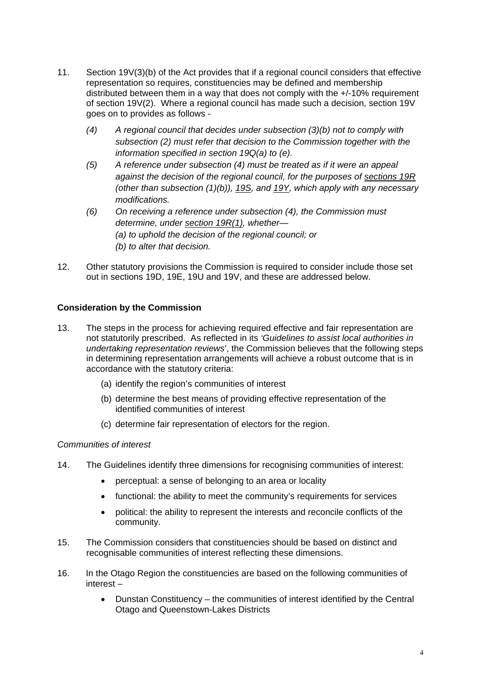- 11. Section 19V(3)(b) of the Act provides that if a regional council considers that effective representation so requires, constituencies may be defined and membership distributed between them in a way that does not comply with the +/-10% requirement of section 19V(2). Where a regional council has made such a decision, section 19V goes on to provides as follows -
	- *(4) A regional council that decides under subsection (3)(b) not to comply with subsection (2) must refer that decision to the Commission together with the information specified in section 19Q(a) to (e).*
	- *(5) A reference under subsection (4) must be treated as if it were an appeal against the decision of the regional council, for the purposes of sections 19R (other than subsection (1)(b)), 19S, and 19Y, which apply with any necessary modifications.*
	- *(6) On receiving a reference under subsection (4), the Commission must determine, under section 19R(1), whether— (a) to uphold the decision of the regional council; or (b) to alter that decision.*
- 12. Other statutory provisions the Commission is required to consider include those set out in sections 19D, 19E, 19U and 19V, and these are addressed below.

## **Consideration by the Commission**

- 13. The steps in the process for achieving required effective and fair representation are not statutorily prescribed. As reflected in its *'Guidelines to assist local authorities in undertaking representation reviews*', the Commission believes that the following steps in determining representation arrangements will achieve a robust outcome that is in accordance with the statutory criteria:
	- (a) identify the region's communities of interest
	- (b) determine the best means of providing effective representation of the identified communities of interest
	- (c) determine fair representation of electors for the region.

## *Communities of interest*

- 14. The Guidelines identify three dimensions for recognising communities of interest:
	- perceptual: a sense of belonging to an area or locality
	- functional: the ability to meet the community's requirements for services
	- political: the ability to represent the interests and reconcile conflicts of the community.
- 15. The Commission considers that constituencies should be based on distinct and recognisable communities of interest reflecting these dimensions.
- 16. In the Otago Region the constituencies are based on the following communities of interest –
	- Dunstan Constituency the communities of interest identified by the Central Otago and Queenstown-Lakes Districts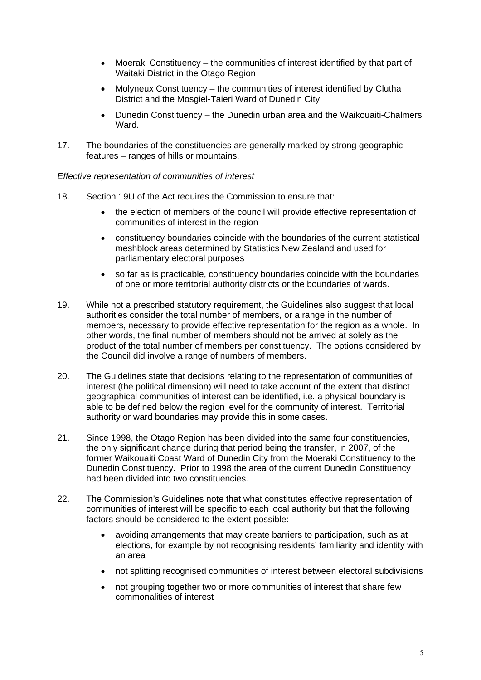- Moeraki Constituency the communities of interest identified by that part of Waitaki District in the Otago Region
- Molyneux Constituency the communities of interest identified by Clutha District and the Mosgiel-Taieri Ward of Dunedin City
- Dunedin Constituency the Dunedin urban area and the Waikouaiti-Chalmers Ward.
- 17. The boundaries of the constituencies are generally marked by strong geographic features – ranges of hills or mountains.

*Effective representation of communities of interest* 

- 18. Section 19U of the Act requires the Commission to ensure that:
	- the election of members of the council will provide effective representation of communities of interest in the region
	- constituency boundaries coincide with the boundaries of the current statistical meshblock areas determined by Statistics New Zealand and used for parliamentary electoral purposes
	- so far as is practicable, constituency boundaries coincide with the boundaries of one or more territorial authority districts or the boundaries of wards.
- 19. While not a prescribed statutory requirement, the Guidelines also suggest that local authorities consider the total number of members, or a range in the number of members, necessary to provide effective representation for the region as a whole. In other words, the final number of members should not be arrived at solely as the product of the total number of members per constituency. The options considered by the Council did involve a range of numbers of members.
- 20. The Guidelines state that decisions relating to the representation of communities of interest (the political dimension) will need to take account of the extent that distinct geographical communities of interest can be identified, i.e. a physical boundary is able to be defined below the region level for the community of interest. Territorial authority or ward boundaries may provide this in some cases.
- 21. Since 1998, the Otago Region has been divided into the same four constituencies, the only significant change during that period being the transfer, in 2007, of the former Waikouaiti Coast Ward of Dunedin City from the Moeraki Constituency to the Dunedin Constituency. Prior to 1998 the area of the current Dunedin Constituency had been divided into two constituencies.
- 22. The Commission's Guidelines note that what constitutes effective representation of communities of interest will be specific to each local authority but that the following factors should be considered to the extent possible:
	- avoiding arrangements that may create barriers to participation, such as at elections, for example by not recognising residents' familiarity and identity with an area
	- not splitting recognised communities of interest between electoral subdivisions
	- not grouping together two or more communities of interest that share few commonalities of interest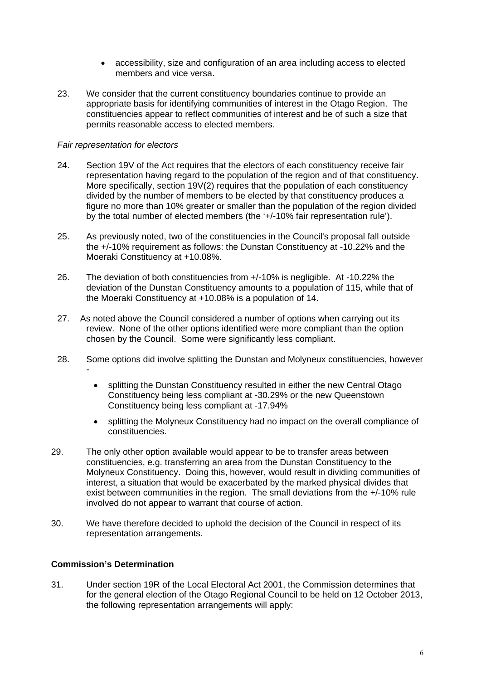- accessibility, size and configuration of an area including access to elected members and vice versa.
- 23. We consider that the current constituency boundaries continue to provide an appropriate basis for identifying communities of interest in the Otago Region. The constituencies appear to reflect communities of interest and be of such a size that permits reasonable access to elected members.

#### *Fair representation for electors*

- 24. Section 19V of the Act requires that the electors of each constituency receive fair representation having regard to the population of the region and of that constituency. More specifically, section 19V(2) requires that the population of each constituency divided by the number of members to be elected by that constituency produces a figure no more than 10% greater or smaller than the population of the region divided by the total number of elected members (the '+/-10% fair representation rule').
- 25. As previously noted, two of the constituencies in the Council's proposal fall outside the +/-10% requirement as follows: the Dunstan Constituency at -10.22% and the Moeraki Constituency at +10.08%.
- 26. The deviation of both constituencies from +/-10% is negligible. At -10.22% the deviation of the Dunstan Constituency amounts to a population of 115, while that of the Moeraki Constituency at +10.08% is a population of 14.
- 27. As noted above the Council considered a number of options when carrying out its review. None of the other options identified were more compliant than the option chosen by the Council. Some were significantly less compliant.
- 28. Some options did involve splitting the Dunstan and Molyneux constituencies, however
	- splitting the Dunstan Constituency resulted in either the new Central Otago Constituency being less compliant at -30.29% or the new Queenstown Constituency being less compliant at -17.94%
	- splitting the Molyneux Constituency had no impact on the overall compliance of constituencies.
- 29. The only other option available would appear to be to transfer areas between constituencies, e.g. transferring an area from the Dunstan Constituency to the Molyneux Constituency. Doing this, however, would result in dividing communities of interest, a situation that would be exacerbated by the marked physical divides that exist between communities in the region. The small deviations from the +/-10% rule involved do not appear to warrant that course of action.
- 30. We have therefore decided to uphold the decision of the Council in respect of its representation arrangements.

#### **Commission's Determination**

31. Under section 19R of the Local Electoral Act 2001, the Commission determines that for the general election of the Otago Regional Council to be held on 12 October 2013, the following representation arrangements will apply: